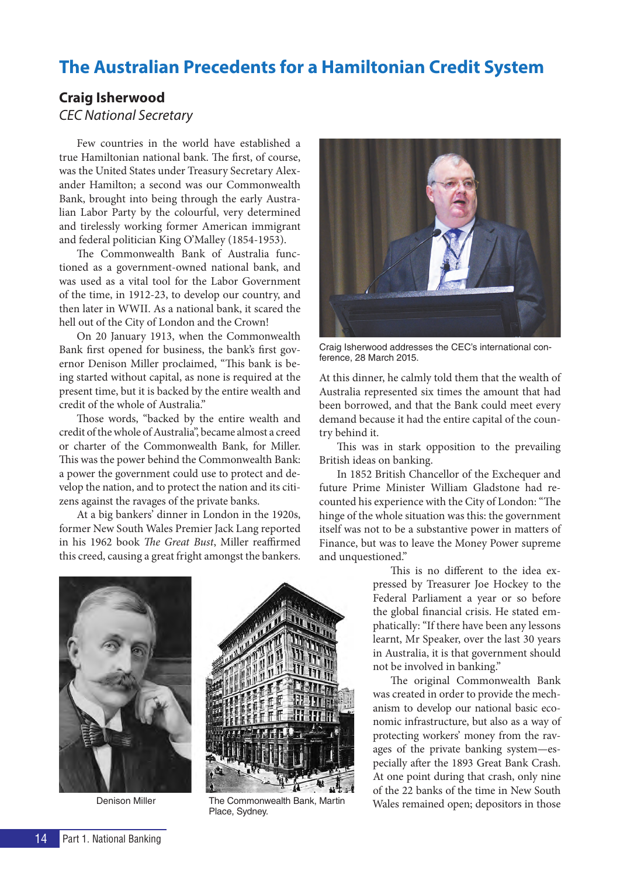# **The Australian Precedents for a Hamiltonian Credit System**

# **Craig Isherwood**

# *CEC National Secretary*

Few countries in the world have established a true Hamiltonian national bank. The first, of course, was the United States under Treasury Secretary Alexander Hamilton; a second was our Commonwealth Bank, brought into being through the early Australian Labor Party by the colourful, very determined and tirelessly working former American immigrant and federal politician King O'Malley (1854-1953).

The Commonwealth Bank of Australia functioned as a government-owned national bank, and was used as a vital tool for the Labor Government of the time, in 1912-23, to develop our country, and then later in WWII. As a national bank, it scared the hell out of the City of London and the Crown!

On 20 January 1913, when the Commonwealth Bank first opened for business, the bank's first governor Denison Miller proclaimed, "This bank is being started without capital, as none is required at the present time, but it is backed by the entire wealth and credit of the whole of Australia."

Those words, "backed by the entire wealth and credit of the whole of Australia", became almost a creed or charter of the Commonwealth Bank, for Miller. This was the power behind the Commonwealth Bank: a power the government could use to protect and develop the nation, and to protect the nation and its citizens against the ravages of the private banks.

At a big bankers' dinner in London in the 1920s, former New South Wales Premier Jack Lang reported in his 1962 book *The Great Bust*, Miller reaffirmed this creed, causing a great fright amongst the bankers.



Craig Isherwood addresses the CEC's international conference, 28 March 2015.

At this dinner, he calmly told them that the wealth of Australia represented six times the amount that had been borrowed, and that the Bank could meet every demand because it had the entire capital of the country behind it.

This was in stark opposition to the prevailing British ideas on banking.

In 1852 British Chancellor of the Exchequer and future Prime Minister William Gladstone had recounted his experience with the City of London: "The hinge of the whole situation was this: the government itself was not to be a substantive power in matters of Finance, but was to leave the Money Power supreme and unquestioned."





Denison Miller The Commonwealth Bank, Martin Place, Sydney.

This is no different to the idea expressed by Treasurer Joe Hockey to the Federal Parliament a year or so before the global financial crisis. He stated emphatically: "If there have been any lessons learnt, Mr Speaker, over the last 30 years in Australia, it is that government should not be involved in banking."

The original Commonwealth Bank was created in order to provide the mechanism to develop our national basic economic infrastructure, but also as a way of protecting workers' money from the ravages of the private banking system—especially after the 1893 Great Bank Crash. At one point during that crash, only nine of the 22 banks of the time in New South Wales remained open; depositors in those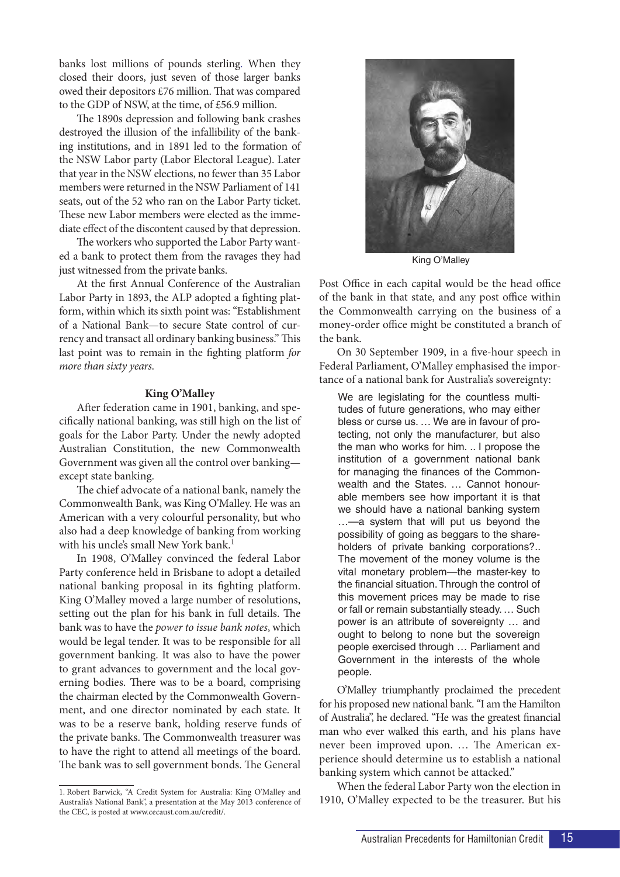banks lost millions of pounds sterling. When they closed their doors, just seven of those larger banks owed their depositors £76 million. That was compared to the GDP of NSW, at the time, of £56.9 million.

The 1890s depression and following bank crashes destroyed the illusion of the infallibility of the banking institutions, and in 1891 led to the formation of the NSW Labor party (Labor Electoral League). Later that year in the NSW elections, no fewer than 35 Labor members were returned in the NSW Parliament of 141 seats, out of the 52 who ran on the Labor Party ticket. These new Labor members were elected as the immediate effect of the discontent caused by that depression.

The workers who supported the Labor Party wanted a bank to protect them from the ravages they had just witnessed from the private banks.

At the first Annual Conference of the Australian Labor Party in 1893, the ALP adopted a fighting platform, within which its sixth point was: "Establishment of a National Bank—to secure State control of currency and transact all ordinary banking business." This last point was to remain in the fighting platform *for more than sixty years*.

#### **King O'Malley**

After federation came in 1901, banking, and specifically national banking, was still high on the list of goals for the Labor Party. Under the newly adopted Australian Constitution, the new Commonwealth Government was given all the control over banking except state banking.

The chief advocate of a national bank, namely the Commonwealth Bank, was King O'Malley. He was an American with a very colourful personality, but who also had a deep knowledge of banking from working with his uncle's small New York bank.<sup>1</sup>

In 1908, O'Malley convinced the federal Labor Party conference held in Brisbane to adopt a detailed national banking proposal in its fighting platform. King O'Malley moved a large number of resolutions, setting out the plan for his bank in full details. The bank was to have the *power to issue bank notes*, which would be legal tender. It was to be responsible for all government banking. It was also to have the power to grant advances to government and the local governing bodies. There was to be a board, comprising the chairman elected by the Commonwealth Government, and one director nominated by each state. It was to be a reserve bank, holding reserve funds of the private banks. The Commonwealth treasurer was to have the right to attend all meetings of the board. The bank was to sell government bonds. The General



King O'Malley

Post Office in each capital would be the head office of the bank in that state, and any post office within the Commonwealth carrying on the business of a money-order office might be constituted a branch of the bank.

On 30 September 1909, in a five-hour speech in Federal Parliament, O'Malley emphasised the importance of a national bank for Australia's sovereignty:

We are legislating for the countless multitudes of future generations, who may either bless or curse us. … We are in favour of protecting, not only the manufacturer, but also the man who works for him. .. I propose the institution of a government national bank for managing the finances of the Commonwealth and the States. … Cannot honourable members see how important it is that we should have a national banking system …—a system that will put us beyond the possibility of going as beggars to the shareholders of private banking corporations?.. The movement of the money volume is the vital monetary problem—the master-key to the financial situation. Through the control of this movement prices may be made to rise or fall or remain substantially steady. … Such power is an attribute of sovereignty … and ought to belong to none but the sovereign people exercised through … Parliament and Government in the interests of the whole people.

O'Malley triumphantly proclaimed the precedent for his proposed new national bank. "I am the Hamilton of Australia", he declared. "He was the greatest financial man who ever walked this earth, and his plans have never been improved upon. … The American experience should determine us to establish a national banking system which cannot be attacked."

When the federal Labor Party won the election in 1910, O'Malley expected to be the treasurer. But his

<sup>1.</sup> Robert Barwick, "A Credit System for Australia: King O'Malley and Australia's National Bank", a presentation at the May 2013 conference of the CEC, is posted at www.cecaust.com.au/credit/.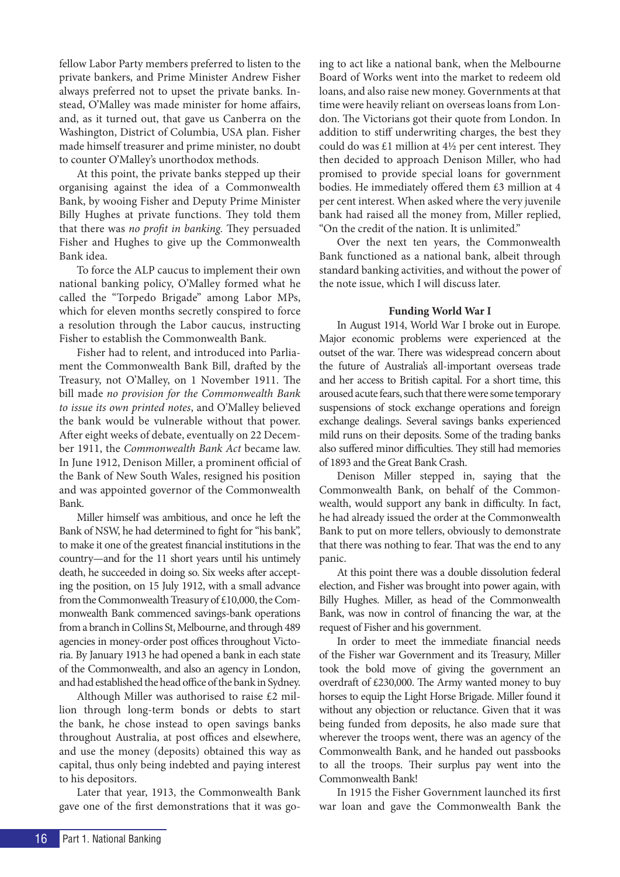fellow Labor Party members preferred to listen to the private bankers, and Prime Minister Andrew Fisher always preferred not to upset the private banks. Instead, O'Malley was made minister for home affairs, and, as it turned out, that gave us Canberra on the Washington, District of Columbia, USA plan. Fisher made himself treasurer and prime minister, no doubt to counter O'Malley's unorthodox methods.

At this point, the private banks stepped up their organising against the idea of a Commonwealth Bank, by wooing Fisher and Deputy Prime Minister Billy Hughes at private functions. They told them that there was *no profit in banking.* They persuaded Fisher and Hughes to give up the Commonwealth Bank idea.

To force the ALP caucus to implement their own national banking policy, O'Malley formed what he called the "Torpedo Brigade" among Labor MPs, which for eleven months secretly conspired to force a resolution through the Labor caucus, instructing Fisher to establish the Commonwealth Bank.

Fisher had to relent, and introduced into Parliament the Commonwealth Bank Bill, drafted by the Treasury, not O'Malley, on 1 November 1911. The bill made *no provision for the Commonwealth Bank to issue its own printed notes*, and O'Malley believed the bank would be vulnerable without that power. After eight weeks of debate, eventually on 22 December 1911, the *Commonwealth Bank Act* became law. In June 1912, Denison Miller, a prominent official of the Bank of New South Wales, resigned his position and was appointed governor of the Commonwealth Bank.

Miller himself was ambitious, and once he left the Bank of NSW, he had determined to fight for "his bank", to make it one of the greatest financial institutions in the country—and for the 11 short years until his untimely death, he succeeded in doing so. Six weeks after accepting the position, on 15 July 1912, with a small advance from the Commonwealth Treasury of £10,000, the Commonwealth Bank commenced savings-bank operations from a branch in Collins St, Melbourne, and through 489 agencies in money-order post offices throughout Victoria. By January 1913 he had opened a bank in each state of the Commonwealth, and also an agency in London, and had established the head office of the bank in Sydney.

Although Miller was authorised to raise £2 million through long-term bonds or debts to start the bank, he chose instead to open savings banks throughout Australia, at post offices and elsewhere, and use the money (deposits) obtained this way as capital, thus only being indebted and paying interest to his depositors.

Later that year, 1913, the Commonwealth Bank gave one of the first demonstrations that it was go-

ing to act like a national bank, when the Melbourne Board of Works went into the market to redeem old loans, and also raise new money. Governments at that time were heavily reliant on overseas loans from London. The Victorians got their quote from London. In addition to stiff underwriting charges, the best they could do was £1 million at  $4\frac{1}{2}$  per cent interest. They then decided to approach Denison Miller, who had promised to provide special loans for government bodies. He immediately offered them £3 million at 4 per cent interest. When asked where the very juvenile bank had raised all the money from, Miller replied, "On the credit of the nation. It is unlimited."

Over the next ten years, the Commonwealth Bank functioned as a national bank, albeit through standard banking activities, and without the power of the note issue, which I will discuss later.

#### **Funding World War I**

In August 1914, World War I broke out in Europe. Major economic problems were experienced at the outset of the war. There was widespread concern about the future of Australia's all-important overseas trade and her access to British capital. For a short time, this aroused acute fears, such that there were some temporary suspensions of stock exchange operations and foreign exchange dealings. Several savings banks experienced mild runs on their deposits. Some of the trading banks also suffered minor difficulties. They still had memories of 1893 and the Great Bank Crash.

Denison Miller stepped in, saying that the Commonwealth Bank, on behalf of the Commonwealth, would support any bank in difficulty. In fact, he had already issued the order at the Commonwealth Bank to put on more tellers, obviously to demonstrate that there was nothing to fear. That was the end to any panic.

At this point there was a double dissolution federal election, and Fisher was brought into power again, with Billy Hughes. Miller, as head of the Commonwealth Bank, was now in control of financing the war, at the request of Fisher and his government.

In order to meet the immediate financial needs of the Fisher war Government and its Treasury, Miller took the bold move of giving the government an overdraft of £230,000. The Army wanted money to buy horses to equip the Light Horse Brigade. Miller found it without any objection or reluctance. Given that it was being funded from deposits, he also made sure that wherever the troops went, there was an agency of the Commonwealth Bank, and he handed out passbooks to all the troops. Their surplus pay went into the Commonwealth Bank!

In 1915 the Fisher Government launched its first war loan and gave the Commonwealth Bank the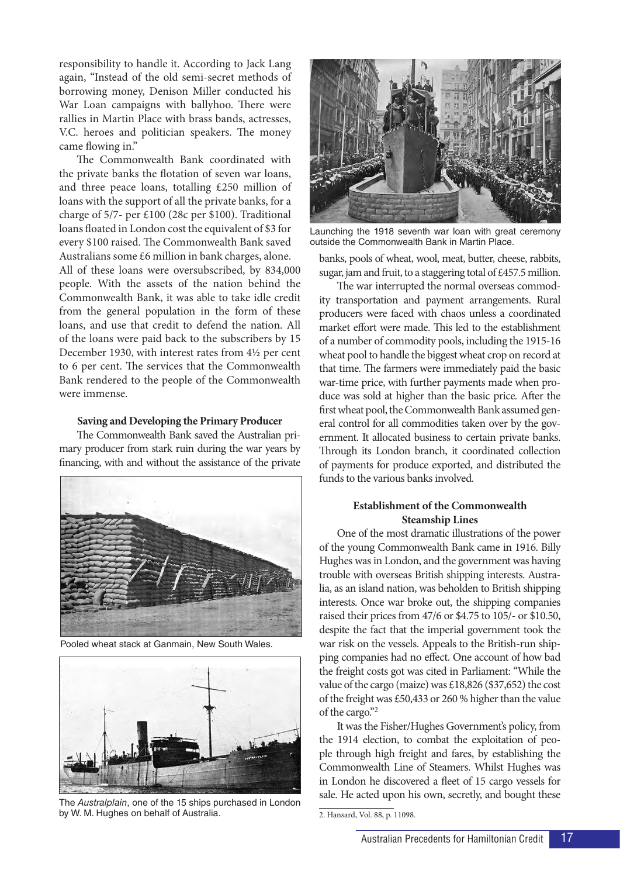responsibility to handle it. According to Jack Lang again, "Instead of the old semi-secret methods of borrowing money, Denison Miller conducted his War Loan campaigns with ballyhoo. There were rallies in Martin Place with brass bands, actresses, V.C. heroes and politician speakers. The money came flowing in."

The Commonwealth Bank coordinated with the private banks the flotation of seven war loans, and three peace loans, totalling £250 million of loans with the support of all the private banks, for a charge of 5/7- per £100 (28c per \$100). Traditional loans floated in London cost the equivalent of \$3 for every \$100 raised. The Commonwealth Bank saved Australians some £6 million in bank charges, alone.

All of these loans were oversubscribed, by 834,000 people. With the assets of the nation behind the Commonwealth Bank, it was able to take idle credit from the general population in the form of these loans, and use that credit to defend the nation. All of the loans were paid back to the subscribers by 15 December 1930, with interest rates from 4½ per cent to 6 per cent. The services that the Commonwealth Bank rendered to the people of the Commonwealth were immense.

#### **Saving and Developing the Primary Producer**

The Commonwealth Bank saved the Australian primary producer from stark ruin during the war years by financing, with and without the assistance of the private



Pooled wheat stack at Ganmain, New South Wales.



The *Australplain*, one of the 15 ships purchased in London by W. M. Hughes on behalf of Australia.



Launching the 1918 seventh war loan with great ceremony outside the Commonwealth Bank in Martin Place.

banks, pools of wheat, wool, meat, butter, cheese, rabbits, sugar, jam and fruit, to a staggering total of £457.5 million.

The war interrupted the normal overseas commodity transportation and payment arrangements. Rural producers were faced with chaos unless a coordinated market effort were made. This led to the establishment of a number of commodity pools, including the 1915-16 wheat pool to handle the biggest wheat crop on record at that time. The farmers were immediately paid the basic war-time price, with further payments made when produce was sold at higher than the basic price. After the first wheat pool, the Commonwealth Bank assumed general control for all commodities taken over by the government. It allocated business to certain private banks. Through its London branch, it coordinated collection of payments for produce exported, and distributed the funds to the various banks involved.

### **Establishment of the Commonwealth Steamship Lines**

One of the most dramatic illustrations of the power of the young Commonwealth Bank came in 1916. Billy Hughes was in London, and the government was having trouble with overseas British shipping interests. Australia, as an island nation, was beholden to British shipping interests. Once war broke out, the shipping companies raised their prices from 47/6 or \$4.75 to 105/- or \$10.50, despite the fact that the imperial government took the war risk on the vessels. Appeals to the British-run shipping companies had no effect. One account of how bad the freight costs got was cited in Parliament: "While the value of the cargo (maize) was £18,826 (\$37,652) the cost of the freight was £50,433 or 260 % higher than the value of the cargo."2

It was the Fisher/Hughes Government's policy, from the 1914 election, to combat the exploitation of people through high freight and fares, by establishing the Commonwealth Line of Steamers. Whilst Hughes was in London he discovered a fleet of 15 cargo vessels for sale. He acted upon his own, secretly, and bought these

<sup>2.</sup> Hansard, Vol. 88, p. 11098.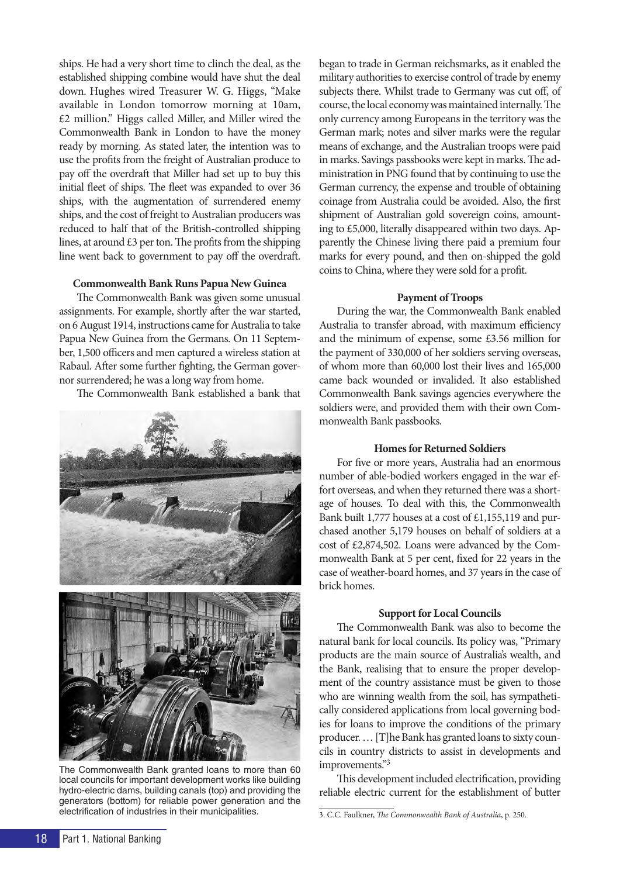ships. He had a very short time to clinch the deal, as the established shipping combine would have shut the deal down. Hughes wired Treasurer W. G. Higgs, "Make available in London tomorrow morning at 10am, £2 million." Higgs called Miller, and Miller wired the Commonwealth Bank in London to have the money ready by morning. As stated later, the intention was to use the profits from the freight of Australian produce to pay off the overdraft that Miller had set up to buy this initial fleet of ships. The fleet was expanded to over 36 ships, with the augmentation of surrendered enemy ships, and the cost of freight to Australian producers was reduced to half that of the British-controlled shipping lines, at around £3 per ton. The profits from the shipping line went back to government to pay off the overdraft.

#### **Commonwealth Bank Runs Papua New Guinea**

The Commonwealth Bank was given some unusual assignments. For example, shortly after the war started, on 6 August 1914, instructions came for Australia to take Papua New Guinea from the Germans. On 11 September, 1,500 officers and men captured a wireless station at Rabaul. After some further fighting, the German governor surrendered; he was a long way from home.

The Commonwealth Bank established a bank that



The Commonwealth Bank granted loans to more than 60 local councils for important development works like building hydro-electric dams, building canals (top) and providing the generators (bottom) for reliable power generation and the electrification of industries in their municipalities.

began to trade in German reichsmarks, as it enabled the military authorities to exercise control of trade by enemy subjects there. Whilst trade to Germany was cut off, of course, the local economy was maintained internally. The only currency among Europeans in the territory was the German mark; notes and silver marks were the regular means of exchange, and the Australian troops were paid in marks. Savings passbooks were kept in marks. The administration in PNG found that by continuing to use the German currency, the expense and trouble of obtaining coinage from Australia could be avoided. Also, the first shipment of Australian gold sovereign coins, amounting to £5,000, literally disappeared within two days. Apparently the Chinese living there paid a premium four marks for every pound, and then on-shipped the gold coins to China, where they were sold for a profit.

#### **Payment of Troops**

During the war, the Commonwealth Bank enabled Australia to transfer abroad, with maximum efficiency and the minimum of expense, some £3.56 million for the payment of 330,000 of her soldiers serving overseas, of whom more than 60,000 lost their lives and 165,000 came back wounded or invalided. It also established Commonwealth Bank savings agencies everywhere the soldiers were, and provided them with their own Commonwealth Bank passbooks.

#### **Homes for Returned Soldiers**

For five or more years, Australia had an enormous number of able-bodied workers engaged in the war effort overseas, and when they returned there was a shortage of houses. To deal with this, the Commonwealth Bank built 1,777 houses at a cost of £1,155,119 and purchased another 5,179 houses on behalf of soldiers at a cost of £2,874,502. Loans were advanced by the Commonwealth Bank at 5 per cent, fixed for 22 years in the case of weather-board homes, and 37 years in the case of brick homes.

#### **Support for Local Councils**

The Commonwealth Bank was also to become the natural bank for local councils. Its policy was, "Primary products are the main source of Australia's wealth, and the Bank, realising that to ensure the proper development of the country assistance must be given to those who are winning wealth from the soil, has sympathetically considered applications from local governing bodies for loans to improve the conditions of the primary producer. … [T]he Bank has granted loans to sixty councils in country districts to assist in developments and improvements."3

This development included electrification, providing reliable electric current for the establishment of butter

<sup>3.</sup> C.C. Faulkner, *The Commonwealth Bank of Australia*, p. 250.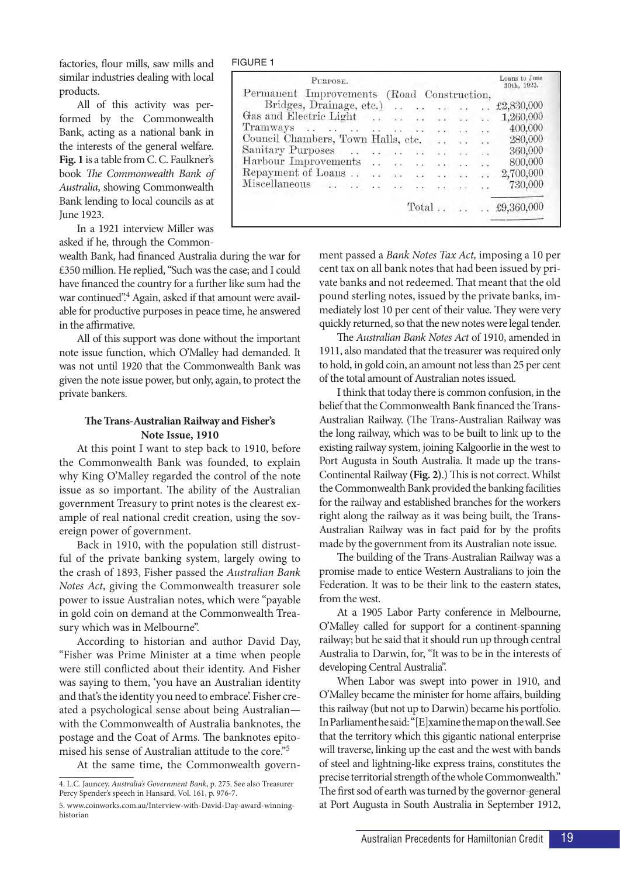factories, flour mills, saw mills and similar industries dealing with local products.

All of this activity was performed by the Commonwealth Bank, acting as a national bank in the interests of the general welfare. **Fig. 1** is a table from C. C. Faulkner's book *The Commonwealth Bank of Australia*, showing Commonwealth Bank lending to local councils as at June 1923.

In a 1921 interview Miller was asked if he, through the Common-

wealth Bank, had financed Australia during the war for £350 million. He replied, "Such was the case; and I could have financed the country for a further like sum had the war continued".<sup>4</sup> Again, asked if that amount were available for productive purposes in peace time, he answered in the affirmative.

All of this support was done without the important note issue function, which O'Malley had demanded. It was not until 1920 that the Commonwealth Bank was given the note issue power, but only, again, to protect the private bankers.

#### **The Trans-Australian Railway and Fisher's Note Issue, 1910**

At this point I want to step back to 1910, before the Commonwealth Bank was founded, to explain why King O'Malley regarded the control of the note issue as so important. The ability of the Australian government Treasury to print notes is the clearest example of real national credit creation, using the sovereign power of government.

Back in 1910, with the population still distrustful of the private banking system, largely owing to the crash of 1893, Fisher passed the *Australian Bank Notes Act*, giving the Commonwealth treasurer sole power to issue Australian notes, which were "payable in gold coin on demand at the Commonwealth Treasury which was in Melbourne".

According to historian and author David Day, "Fisher was Prime Minister at a time when people were still conflicted about their identity. And Fisher was saying to them, 'you have an Australian identity and that's the identity you need to embrace'. Fisher created a psychological sense about being Australian with the Commonwealth of Australia banknotes, the postage and the Coat of Arms. The banknotes epitomised his sense of Australian attitude to the core."5

At the same time, the Commonwealth govern-

| FIGURE |  |
|--------|--|
|--------|--|

| PURPOSE.                                                       |  |                            |                      |                                                                |                 | Loans to June<br>30th, 1923. |
|----------------------------------------------------------------|--|----------------------------|----------------------|----------------------------------------------------------------|-----------------|------------------------------|
| Permanent Improvements (Road Construction,                     |  |                            |                      |                                                                |                 |                              |
| Bridges, Drainage, etc.).                                      |  | $\cdot$ .                  | $\sim 10^{-1}$       | $\ddot{\phantom{1}}$                                           | $\cdot$ .       | £2,830,000                   |
| Gas and Electric Light                                         |  | $\overline{\phantom{a}}$ . |                      | <b>Carl Carl</b>                                               |                 | 1,260,000                    |
| Tramways $\ldots$ $\ldots$ $\ldots$ $\ldots$ $\ldots$ $\ldots$ |  |                            |                      |                                                                |                 | 400,000                      |
| Council Chambers, Town Halls, etc.                             |  |                            |                      | $9.4 - 3.4$                                                    |                 | 280,000                      |
| Sanitary Purposes                                              |  | $\ddot{\phantom{0}}$       | $25 - 7$             | $\cdot$ .                                                      | $\sim$ .        | 360,000                      |
| Harbour Improvements                                           |  | $\ddot{\phantom{0}}$       | $\ddot{\phantom{a}}$ | $-251$                                                         | $\mathcal{L}$   | 800,000                      |
|                                                                |  |                            |                      |                                                                | $\cdot$ $\cdot$ | 2,700,000                    |
|                                                                |  | $\cdot$ .                  |                      | $\mathcal{A}(\mathbf{y}) = \mathcal{A}(\mathbf{y},\mathbf{y})$ |                 | 730,000                      |
|                                                                |  |                            |                      |                                                                |                 |                              |
|                                                                |  |                            |                      |                                                                |                 | Total $\pounds9,360,000$     |

ment passed a *Bank Notes Tax Act,* imposing a 10 per cent tax on all bank notes that had been issued by private banks and not redeemed. That meant that the old pound sterling notes, issued by the private banks, immediately lost 10 per cent of their value. They were very quickly returned, so that the new notes were legal tender.

The *Australian Bank Notes Act* of 1910, amended in 1911, also mandated that the treasurer was required only to hold, in gold coin, an amount not less than 25 per cent of the total amount of Australian notes issued.

I think that today there is common confusion, in the belief that the Commonwealth Bank financed the Trans-Australian Railway. (The Trans-Australian Railway was the long railway, which was to be built to link up to the existing railway system, joining Kalgoorlie in the west to Port Augusta in South Australia. It made up the trans-Continental Railway **(Fig. 2)**.) This is not correct. Whilst the Commonwealth Bank provided the banking facilities for the railway and established branches for the workers right along the railway as it was being built, the Trans-Australian Railway was in fact paid for by the profits made by the government from its Australian note issue.

The building of the Trans-Australian Railway was a promise made to entice Western Australians to join the Federation. It was to be their link to the eastern states, from the west.

At a 1905 Labor Party conference in Melbourne, O'Malley called for support for a continent-spanning railway; but he said that it should run up through central Australia to Darwin, for, "It was to be in the interests of developing Central Australia".

When Labor was swept into power in 1910, and O'Malley became the minister for home affairs, building this railway (but not up to Darwin) became his portfolio. In Parliament he said: "[E]xamine the map on the wall. See that the territory which this gigantic national enterprise will traverse, linking up the east and the west with bands of steel and lightning-like express trains, constitutes the precise territorial strength of the whole Commonwealth." The first sod of earth was turned by the governor-general at Port Augusta in South Australia in September 1912,

<sup>4.</sup> L.C. Jauncey, *Australia's Government Bank*, p. 275. See also Treasurer Percy Spender's speech in Hansard, Vol. 161, p. 976-7.

<sup>5.</sup> www.coinworks.com.au/Interview-with-David-Day-award-winninghistorian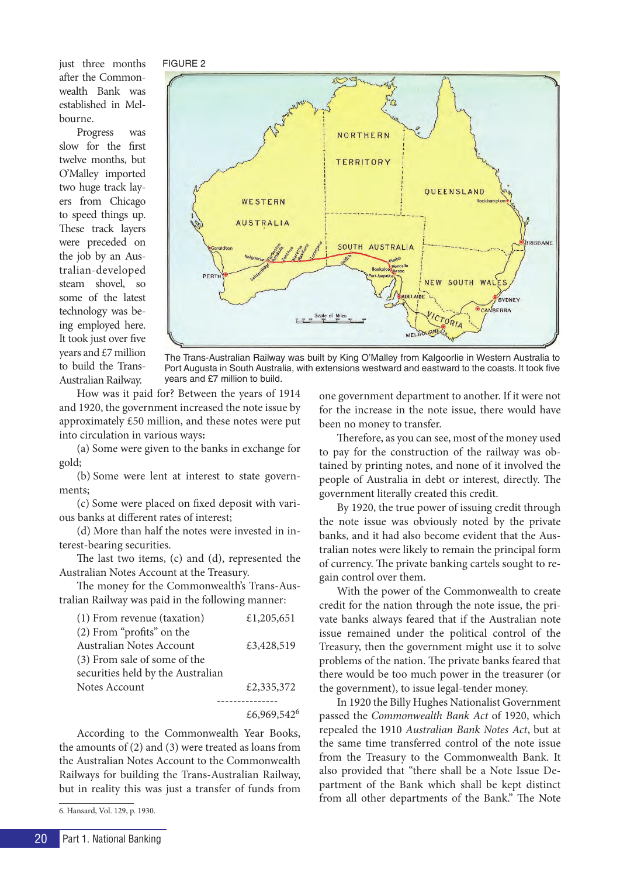just three months after the Commonwealth Bank was established in Melbourne.

Progress was slow for the first twelve months, but O'Malley imported two huge track layers from Chicago to speed things up. These track layers were preceded on the job by an Australian-developed steam shovel, so some of the latest technology was being employed here. It took just over five years and £7 million to build the Trans-Australian Railway.



The Trans-Australian Railway was built by King O'Malley from Kalgoorlie in Western Australia to Port Augusta in South Australia, with extensions westward and eastward to the coasts. It took five years and £7 million to build.

How was it paid for? Between the years of 1914 and 1920, the government increased the note issue by approximately £50 million, and these notes were put into circulation in various ways**:**

(a) Some were given to the banks in exchange for gold;

(b) Some were lent at interest to state governments;

(c) Some were placed on fixed deposit with various banks at different rates of interest;

(d) More than half the notes were invested in interest-bearing securities.

The last two items, (c) and (d), represented the Australian Notes Account at the Treasury.

The money for the Commonwealth's Trans-Australian Railway was paid in the following manner:

| (1) From revenue (taxation)       | £1,205,651 |
|-----------------------------------|------------|
| (2) From "profits" on the         |            |
| Australian Notes Account          | £3,428,519 |
| (3) From sale of some of the      |            |
| securities held by the Australian |            |
| Notes Account                     | £2,335,372 |
|                                   |            |
|                                   |            |

£6,969,542<sup>6</sup>

According to the Commonwealth Year Books, the amounts of (2) and (3) were treated as loans from the Australian Notes Account to the Commonwealth Railways for building the Trans-Australian Railway, but in reality this was just a transfer of funds from

6. Hansard, Vol. 129, p. 1930.

one government department to another. If it were not for the increase in the note issue, there would have been no money to transfer.

Therefore, as you can see, most of the money used to pay for the construction of the railway was obtained by printing notes, and none of it involved the people of Australia in debt or interest, directly. The government literally created this credit.

By 1920, the true power of issuing credit through the note issue was obviously noted by the private banks, and it had also become evident that the Australian notes were likely to remain the principal form of currency. The private banking cartels sought to regain control over them.

With the power of the Commonwealth to create credit for the nation through the note issue, the private banks always feared that if the Australian note issue remained under the political control of the Treasury, then the government might use it to solve problems of the nation. The private banks feared that there would be too much power in the treasurer (or the government), to issue legal-tender money.

In 1920 the Billy Hughes Nationalist Government passed the *Commonwealth Bank Act* of 1920, which repealed the 1910 *Australian Bank Notes Act*, but at the same time transferred control of the note issue from the Treasury to the Commonwealth Bank. It also provided that "there shall be a Note Issue Department of the Bank which shall be kept distinct from all other departments of the Bank." The Note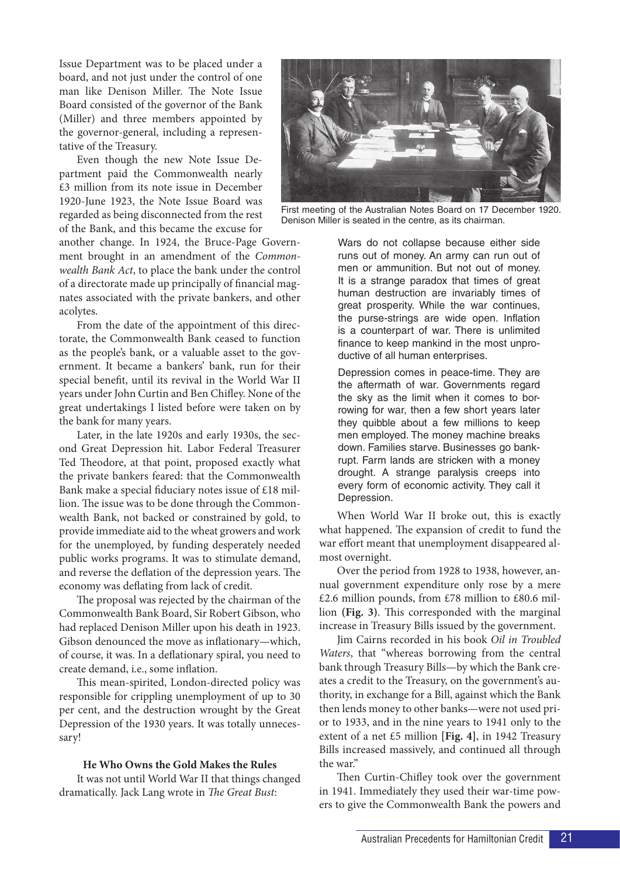Issue Department was to be placed under a board, and not just under the control of one man like Denison Miller. The Note Issue Board consisted of the governor of the Bank (Miller) and three members appointed by the governor-general, including a representative of the Treasury.

Even though the new Note Issue Department paid the Commonwealth nearly £3 million from its note issue in December 1920-June 1923, the Note Issue Board was regarded as being disconnected from the rest of the Bank, and this became the excuse for

another change. In 1924, the Bruce-Page Government brought in an amendment of the *Commonwealth Bank Act*, to place the bank under the control of a directorate made up principally of financial magnates associated with the private bankers, and other acolytes.

From the date of the appointment of this directorate, the Commonwealth Bank ceased to function as the people's bank, or a valuable asset to the government. It became a bankers' bank, run for their special benefit, until its revival in the World War II years under John Curtin and Ben Chifley. None of the great undertakings I listed before were taken on by the bank for many years.

Later, in the late 1920s and early 1930s, the second Great Depression hit. Labor Federal Treasurer Ted Theodore, at that point, proposed exactly what the private bankers feared: that the Commonwealth Bank make a special fiduciary notes issue of £18 million. The issue was to be done through the Commonwealth Bank, not backed or constrained by gold, to provide immediate aid to the wheat growers and work for the unemployed, by funding desperately needed public works programs. It was to stimulate demand, and reverse the deflation of the depression years. The economy was deflating from lack of credit.

The proposal was rejected by the chairman of the Commonwealth Bank Board, Sir Robert Gibson, who had replaced Denison Miller upon his death in 1923. Gibson denounced the move as inflationary—which, of course, it was. In a deflationary spiral, you need to create demand, i.e., some inflation.

This mean-spirited, London-directed policy was responsible for crippling unemployment of up to 30 per cent, and the destruction wrought by the Great Depression of the 1930 years. It was totally unnecessary!

#### **He Who Owns the Gold Makes the Rules**

It was not until World War II that things changed dramatically. Jack Lang wrote in *The Great Bust*:



First meeting of the Australian Notes Board on 17 December 1920. Denison Miller is seated in the centre, as its chairman.

Wars do not collapse because either side runs out of money. An army can run out of men or ammunition. But not out of money. It is a strange paradox that times of great human destruction are invariably times of great prosperity. While the war continues, the purse-strings are wide open. Inflation is a counterpart of war. There is unlimited finance to keep mankind in the most unproductive of all human enterprises.

Depression comes in peace-time. They are the aftermath of war. Governments regard the sky as the limit when it comes to borrowing for war, then a few short years later they quibble about a few millions to keep men employed. The money machine breaks down. Families starve. Businesses go bankrupt. Farm lands are stricken with a money drought. A strange paralysis creeps into every form of economic activity. They call it Depression.

When World War II broke out, this is exactly what happened. The expansion of credit to fund the war effort meant that unemployment disappeared almost overnight.

Over the period from 1928 to 1938, however, annual government expenditure only rose by a mere  $£2.6$  million pounds, from £78 million to £80.6 million **(Fig. 3)**. This corresponded with the marginal increase in Treasury Bills issued by the government.

Jim Cairns recorded in his book *Oil in Troubled Waters*, that "whereas borrowing from the central bank through Treasury Bills—by which the Bank creates a credit to the Treasury, on the government's authority, in exchange for a Bill, against which the Bank then lends money to other banks—were not used prior to 1933, and in the nine years to 1941 only to the extent of a net £5 million **[Fig. 4]**, in 1942 Treasury Bills increased massively, and continued all through the war."

Then Curtin-Chifley took over the government in 1941. Immediately they used their war-time powers to give the Commonwealth Bank the powers and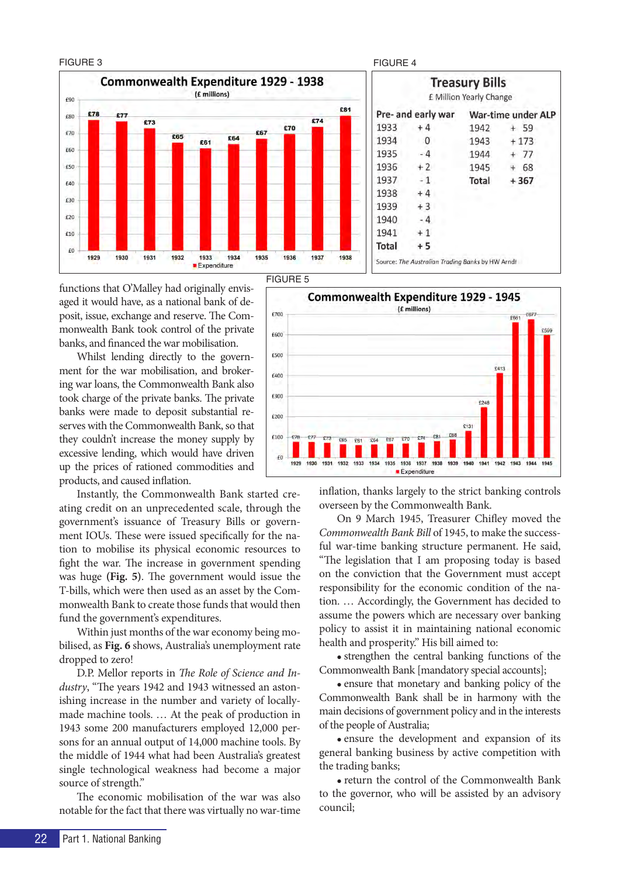#### FIGURE 3 FIGURE 4



#### **Treasury Bills** £ Million Yearly Change Pre- and early war War-time under ALP 1933  $+4$  $+59$  $1942$ 1934  $\overline{0}$ 1943  $+173$ 1935  $-4$ 1944  $+ 77$ 1936  $+2$ 1945  $+ 68$ 1937  $-1$ Total  $+367$ 1938  $+4$ 1939  $+3$ 1940  $-4$ 1941  $+1$ Total  $+5$ Source: The Australian Trading Banks by HW Arndt

FIGURE 5

functions that O'Malley had originally envisaged it would have, as a national bank of deposit, issue, exchange and reserve. The Commonwealth Bank took control of the private banks, and financed the war mobilisation.

Whilst lending directly to the government for the war mobilisation, and brokering war loans, the Commonwealth Bank also took charge of the private banks. The private banks were made to deposit substantial reserves with the Commonwealth Bank, so that they couldn't increase the money supply by excessive lending, which would have driven up the prices of rationed commodities and products, and caused inflation.

Instantly, the Commonwealth Bank started creating credit on an unprecedented scale, through the government's issuance of Treasury Bills or government IOUs. These were issued specifically for the nation to mobilise its physical economic resources to fight the war. The increase in government spending was huge **(Fig. 5)**. The government would issue the T-bills, which were then used as an asset by the Commonwealth Bank to create those funds that would then fund the government's expenditures.

Within just months of the war economy being mobilised, as **Fig. 6** shows, Australia's unemployment rate dropped to zero!

D.P. Mellor reports in *The Role of Science and Industry*, "The years 1942 and 1943 witnessed an astonishing increase in the number and variety of locallymade machine tools. … At the peak of production in 1943 some 200 manufacturers employed 12,000 persons for an annual output of 14,000 machine tools. By the middle of 1944 what had been Australia's greatest single technological weakness had become a major source of strength."

The economic mobilisation of the war was also notable for the fact that there was virtually no war-time

Commonwealth Expenditure 1929 - 1945 (£ millions) £700 **DEC1**  $F600$  $F500$ £413  $6400$ £300  $6246$  $6200$  $E131$ £100  $575$  $F6$ **F64**  $FQ$ 1938 1929 1930 1931 1932 1933 1934 1935 1936 1937 1939 1940 1941 1942 1943 1944 1945 **Expenditure** 

> inflation, thanks largely to the strict banking controls overseen by the Commonwealth Bank.

> On 9 March 1945, Treasurer Chifley moved the *Commonwealth Bank Bill* of 1945, to make the successful war-time banking structure permanent. He said, "The legislation that I am proposing today is based on the conviction that the Government must accept responsibility for the economic condition of the nation. … Accordingly, the Government has decided to assume the powers which are necessary over banking policy to assist it in maintaining national economic health and prosperity." His bill aimed to:

> • strengthen the central banking functions of the Commonwealth Bank [mandatory special accounts];

> • ensure that monetary and banking policy of the Commonwealth Bank shall be in harmony with the main decisions of government policy and in the interests of the people of Australia;

> • ensure the development and expansion of its general banking business by active competition with the trading banks;

> • return the control of the Commonwealth Bank to the governor, who will be assisted by an advisory council;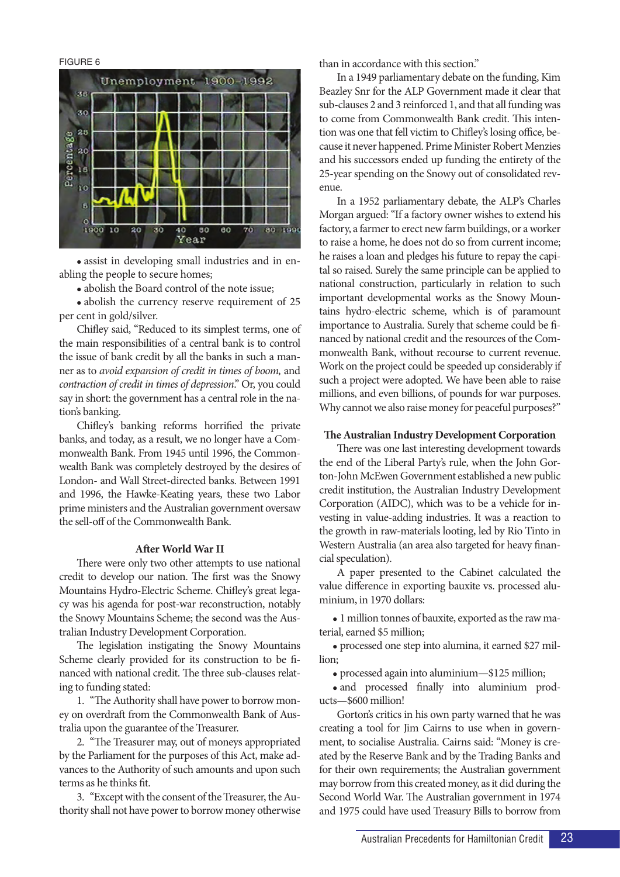FIGURE 6



• assist in developing small industries and in enabling the people to secure homes;

• abolish the Board control of the note issue;

• abolish the currency reserve requirement of 25 per cent in gold/silver.

Chifley said, "Reduced to its simplest terms, one of the main responsibilities of a central bank is to control the issue of bank credit by all the banks in such a manner as to *avoid expansion of credit in times of boom,* and *contraction of credit in times of depression*." Or, you could say in short: the government has a central role in the nation's banking.

Chifley's banking reforms horrified the private banks, and today, as a result, we no longer have a Commonwealth Bank. From 1945 until 1996, the Commonwealth Bank was completely destroyed by the desires of London- and Wall Street-directed banks. Between 1991 and 1996, the Hawke-Keating years, these two Labor prime ministers and the Australian government oversaw the sell-off of the Commonwealth Bank.

#### **After World War II**

There were only two other attempts to use national credit to develop our nation. The first was the Snowy Mountains Hydro-Electric Scheme. Chifley's great legacy was his agenda for post-war reconstruction, notably the Snowy Mountains Scheme; the second was the Australian Industry Development Corporation.

The legislation instigating the Snowy Mountains Scheme clearly provided for its construction to be financed with national credit. The three sub-clauses relating to funding stated:

1. "The Authority shall have power to borrow money on overdraft from the Commonwealth Bank of Australia upon the guarantee of the Treasurer.

2. "The Treasurer may, out of moneys appropriated by the Parliament for the purposes of this Act, make advances to the Authority of such amounts and upon such terms as he thinks fit.

3. "Except with the consent of the Treasurer, the Authority shall not have power to borrow money otherwise than in accordance with this section."

In a 1949 parliamentary debate on the funding, Kim Beazley Snr for the ALP Government made it clear that sub-clauses 2 and 3 reinforced 1, and that all funding was to come from Commonwealth Bank credit. This intention was one that fell victim to Chifley's losing office, because it never happened. Prime Minister Robert Menzies and his successors ended up funding the entirety of the 25-year spending on the Snowy out of consolidated revenue.

In a 1952 parliamentary debate, the ALP's Charles Morgan argued: "If a factory owner wishes to extend his factory, a farmer to erect new farm buildings, or a worker to raise a home, he does not do so from current income; he raises a loan and pledges his future to repay the capital so raised. Surely the same principle can be applied to national construction, particularly in relation to such important developmental works as the Snowy Mountains hydro-electric scheme, which is of paramount importance to Australia. Surely that scheme could be financed by national credit and the resources of the Commonwealth Bank, without recourse to current revenue. Work on the project could be speeded up considerably if such a project were adopted. We have been able to raise millions, and even billions, of pounds for war purposes. Why cannot we also raise money for peaceful purposes?"

#### **The Australian Industry Development Corporation**

There was one last interesting development towards the end of the Liberal Party's rule, when the John Gorton-John McEwen Government established a new public credit institution, the Australian Industry Development Corporation (AIDC), which was to be a vehicle for investing in value-adding industries. It was a reaction to the growth in raw-materials looting, led by Rio Tinto in Western Australia (an area also targeted for heavy financial speculation).

A paper presented to the Cabinet calculated the value difference in exporting bauxite vs. processed aluminium, in 1970 dollars:

<sup>l</sup> 1 million tonnes of bauxite, exported as the raw material, earned \$5 million;

• processed one step into alumina, it earned \$27 million;

<sup>l</sup> processed again into aluminium—\$125 million;

• and processed finally into aluminium products—\$600 million!

Gorton's critics in his own party warned that he was creating a tool for Jim Cairns to use when in government, to socialise Australia. Cairns said: "Money is created by the Reserve Bank and by the Trading Banks and for their own requirements; the Australian government may borrow from this created money, as it did during the Second World War. The Australian government in 1974 and 1975 could have used Treasury Bills to borrow from